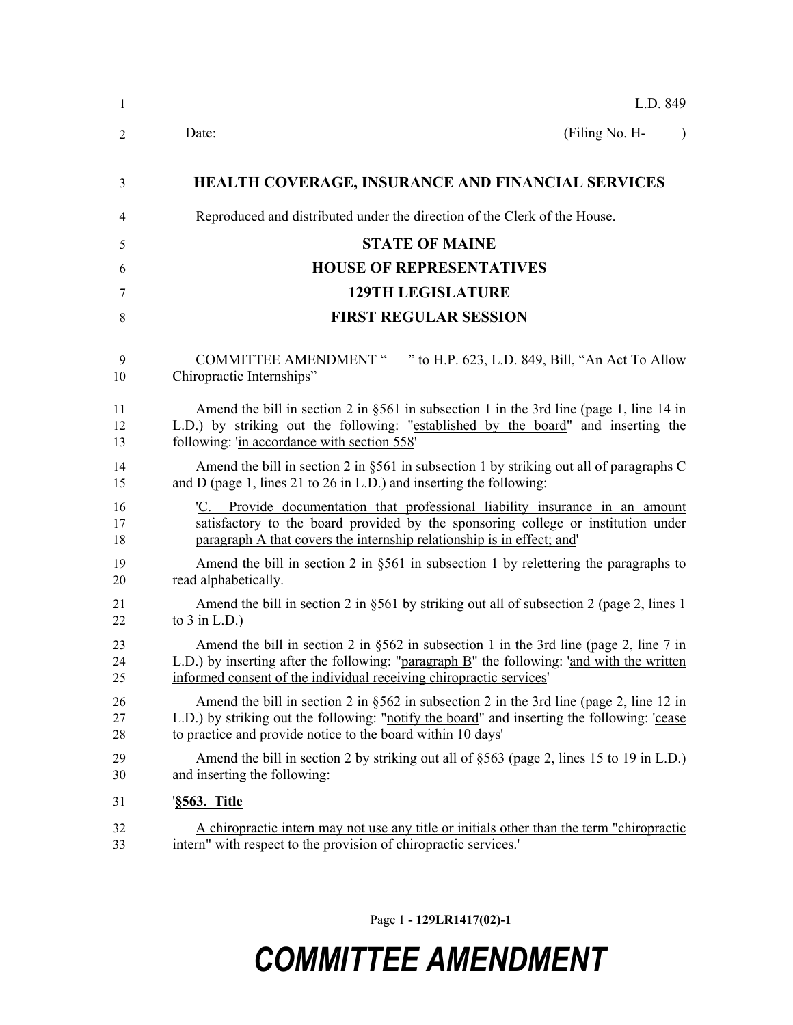| $\mathbf{1}$   | L.D. 849                                                                                                                                                                                                                                                        |
|----------------|-----------------------------------------------------------------------------------------------------------------------------------------------------------------------------------------------------------------------------------------------------------------|
| $\overline{2}$ | (Filing No. H-<br>Date:<br>$\lambda$                                                                                                                                                                                                                            |
| 3              | <b>HEALTH COVERAGE, INSURANCE AND FINANCIAL SERVICES</b>                                                                                                                                                                                                        |
| 4              | Reproduced and distributed under the direction of the Clerk of the House.                                                                                                                                                                                       |
| 5              | <b>STATE OF MAINE</b>                                                                                                                                                                                                                                           |
| 6              | <b>HOUSE OF REPRESENTATIVES</b>                                                                                                                                                                                                                                 |
| 7              | <b>129TH LEGISLATURE</b>                                                                                                                                                                                                                                        |
| $\,8\,$        | <b>FIRST REGULAR SESSION</b>                                                                                                                                                                                                                                    |
| 9<br>10        | <b>COMMITTEE AMENDMENT "</b><br>" to H.P. 623, L.D. 849, Bill, "An Act To Allow<br>Chiropractic Internships"                                                                                                                                                    |
| 11<br>12<br>13 | Amend the bill in section 2 in §561 in subsection 1 in the 3rd line (page 1, line 14 in<br>L.D.) by striking out the following: "established by the board" and inserting the<br>following: 'in accordance with section 558'                                     |
| 14<br>15       | Amend the bill in section 2 in §561 in subsection 1 by striking out all of paragraphs $C$<br>and D (page 1, lines 21 to 26 in L.D.) and inserting the following:                                                                                                |
| 16<br>17<br>18 | Provide documentation that professional liability insurance in an amount<br>'C.<br>satisfactory to the board provided by the sponsoring college or institution under<br>paragraph A that covers the internship relationship is in effect; and                   |
| 19<br>20       | Amend the bill in section 2 in $\S 561$ in subsection 1 by relettering the paragraphs to<br>read alphabetically.                                                                                                                                                |
| 21<br>22       | Amend the bill in section 2 in §561 by striking out all of subsection 2 (page 2, lines 1)<br>to $3$ in L.D.)                                                                                                                                                    |
| 23<br>24<br>25 | Amend the bill in section 2 in $\S 562$ in subsection 1 in the 3rd line (page 2, line 7 in<br>L.D.) by inserting after the following: "paragraph B" the following: 'and with the written<br>informed consent of the individual receiving chiropractic services' |
| 26<br>27<br>28 | Amend the bill in section 2 in $\S 562$ in subsection 2 in the 3rd line (page 2, line 12 in<br>L.D.) by striking out the following: "notify the board" and inserting the following: 'cease<br>to practice and provide notice to the board within 10 days'       |
| 29<br>30       | Amend the bill in section 2 by striking out all of §563 (page 2, lines 15 to 19 in L.D.)<br>and inserting the following:                                                                                                                                        |
| 31             | ' <u>§563. Title</u>                                                                                                                                                                                                                                            |
| 32<br>33       | A chiropractic intern may not use any title or initials other than the term "chiropractic<br>intern" with respect to the provision of chiropractic services.'                                                                                                   |

Page 1 **- 129LR1417(02)-1**

## *COMMITTEE AMENDMENT*